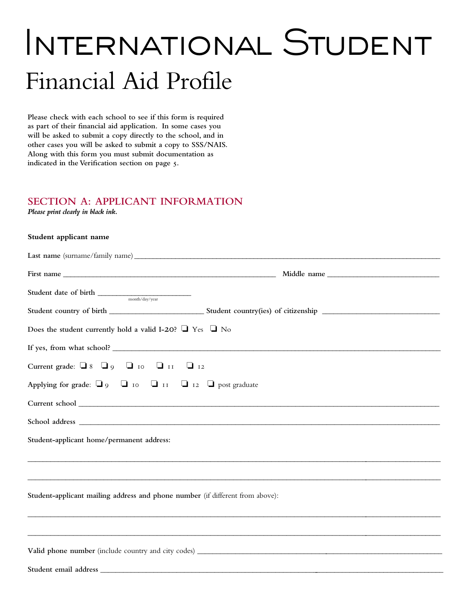# International Student Financial Aid Profile

**Please check with each school to see if this form is required as part of their financial aid application. In some cases you will be asked to submit a copy directly to the school, and in other cases you will be asked to submit a copy to SSS/NAIS. Along with this form you must submit documentation as indicated in the Verification section on page 5.**

#### **Section A: APPLICANT INFORMATION**

*Please print clearly in black ink.*

#### **Student applicant name**

| ${\bf Student \ date \ of \ birth} \ \_\_ {\rm month/day/year}$                 |  |
|---------------------------------------------------------------------------------|--|
|                                                                                 |  |
| Does the student currently hold a valid I-20? $\Box$ Yes $\Box$ No              |  |
|                                                                                 |  |
| Current grade: $\Box$ 8 $\Box$ 9 $\Box$ 10 $\Box$ 11 $\Box$ 12                  |  |
| Applying for grade: $\Box$ 9 $\Box$ 10 $\Box$ 11 $\Box$ 12 $\Box$ post graduate |  |
|                                                                                 |  |
|                                                                                 |  |
| Student-applicant home/permanent address:                                       |  |
|                                                                                 |  |
| Student-applicant mailing address and phone number (if different from above):   |  |
|                                                                                 |  |
|                                                                                 |  |
|                                                                                 |  |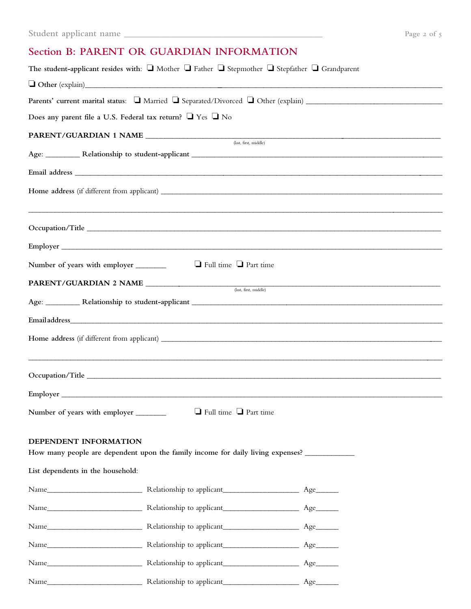## Section **B: PARENT OR GUARDIAN INFORMATION**

|                                       | The student-applicant resides with: $\Box$ Mother $\Box$ Father $\Box$ Stepmother $\Box$ Stepfather $\Box$ Grandparent                                                                                                         |  |
|---------------------------------------|--------------------------------------------------------------------------------------------------------------------------------------------------------------------------------------------------------------------------------|--|
|                                       | $\Box$ Other (explain)                                                                                                                                                                                                         |  |
|                                       |                                                                                                                                                                                                                                |  |
|                                       | Does any parent file a U.S. Federal tax return? U Yes U No                                                                                                                                                                     |  |
|                                       | (last, first, middle)                                                                                                                                                                                                          |  |
|                                       |                                                                                                                                                                                                                                |  |
|                                       |                                                                                                                                                                                                                                |  |
|                                       |                                                                                                                                                                                                                                |  |
|                                       |                                                                                                                                                                                                                                |  |
|                                       |                                                                                                                                                                                                                                |  |
|                                       |                                                                                                                                                                                                                                |  |
|                                       |                                                                                                                                                                                                                                |  |
|                                       | $\Box$ Full time $\Box$ Part time<br>Number of years with employer ________                                                                                                                                                    |  |
|                                       | <b>PARENT/GUARDIAN 2 NAME</b> <u>(last, first, middle)</u>                                                                                                                                                                     |  |
|                                       |                                                                                                                                                                                                                                |  |
|                                       |                                                                                                                                                                                                                                |  |
|                                       |                                                                                                                                                                                                                                |  |
|                                       |                                                                                                                                                                                                                                |  |
|                                       |                                                                                                                                                                                                                                |  |
|                                       |                                                                                                                                                                                                                                |  |
| Number of years with employer _______ | $\Box$ Full time $\Box$ Part time                                                                                                                                                                                              |  |
|                                       |                                                                                                                                                                                                                                |  |
| DEPENDENT INFORMATION                 |                                                                                                                                                                                                                                |  |
|                                       | How many people are dependent upon the family income for daily living expenses?                                                                                                                                                |  |
| List dependents in the household:     |                                                                                                                                                                                                                                |  |
|                                       |                                                                                                                                                                                                                                |  |
|                                       |                                                                                                                                                                                                                                |  |
|                                       |                                                                                                                                                                                                                                |  |
|                                       |                                                                                                                                                                                                                                |  |
|                                       | Name Manne Manne Manne Manne Manne Manne Manne Manne Manne Manne Manne Manne Manne Manne Manne Manne Manne Manne Manne Manne Manne Manne Manne Manne Manne Manne Manne Manne Manne Manne Manne Manne Manne Manne Manne Manne M |  |
|                                       |                                                                                                                                                                                                                                |  |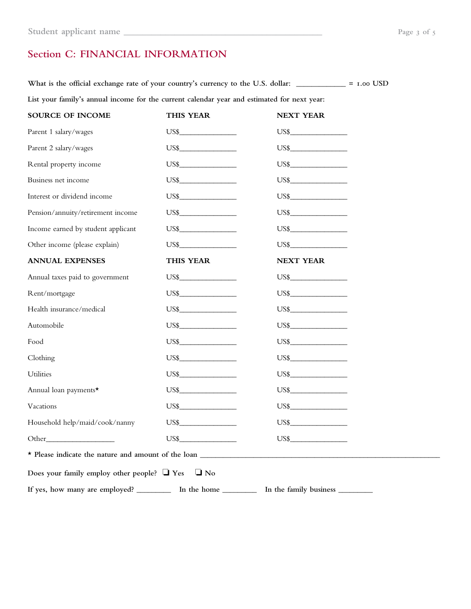# **Section C: FINANCIAL INFORMATION**

What is the official exchange rate of your country's currency to the U.S. dollar: \_\_\_\_\_\_\_\_\_\_\_\_ = 1.00 USD **List your family's annual income for the current calendar year and estimated for next year:**

| <b>SOURCE OF INCOME</b>                                                                                    | THIS YEAR               | <b>NEXT YEAR</b>       |  |
|------------------------------------------------------------------------------------------------------------|-------------------------|------------------------|--|
| Parent 1 salary/wages                                                                                      | $\overline{\text{US}}$  | $\overline{US\$}$      |  |
| Parent 2 salary/wages                                                                                      |                         |                        |  |
| Rental property income                                                                                     | $\overline{US\$}$       | $\overline{US\$}$      |  |
| Business net income                                                                                        |                         |                        |  |
| Interest or dividend income                                                                                |                         | $\overline{US\$}$      |  |
| Pension/annuity/retirement income                                                                          |                         |                        |  |
| Income earned by student applicant                                                                         | US\$                    | US\$                   |  |
| Other income (please explain)                                                                              | $\overline{\text{USS}}$ | US\$                   |  |
| <b>ANNUAL EXPENSES</b>                                                                                     | THIS YEAR               | <b>NEXT YEAR</b>       |  |
| Annual taxes paid to government                                                                            | $\overline{\text{US}}$  | $\overline{\text{US}}$ |  |
| Rent/mortgage                                                                                              |                         |                        |  |
| Health insurance/medical                                                                                   |                         |                        |  |
| Automobile                                                                                                 |                         |                        |  |
| Food                                                                                                       |                         |                        |  |
| Clothing                                                                                                   |                         |                        |  |
| Utilities                                                                                                  | $\overline{US\$}$       | $\overline{US\$}$      |  |
| Annual loan payments*                                                                                      |                         |                        |  |
| Vacations                                                                                                  | $\overline{\text{US}}$  | $\overline{US\$}$      |  |
| Household help/maid/cook/nanny                                                                             |                         |                        |  |
|                                                                                                            | $\overline{US\$}$       | $\overline{US\$}$      |  |
|                                                                                                            |                         |                        |  |
| Does your family employ other people? $\Box$ Yes<br>$\Box$ No                                              |                         |                        |  |
| If yes, how many are employed? ____________ In the home _______________ In the family business ___________ |                         |                        |  |
|                                                                                                            |                         |                        |  |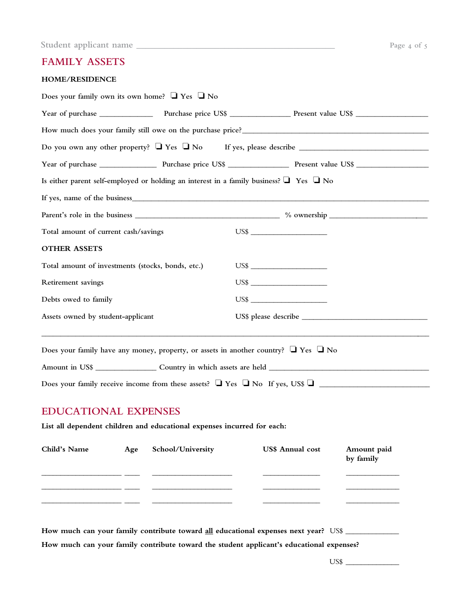| Student applicant name |  | Page 4 of 1 |  |
|------------------------|--|-------------|--|
|------------------------|--|-------------|--|

## **Family assets**

| Is either parent self-employed or holding an interest in a family business? $\Box$ Yes $\Box$ No<br>Total amount of current cash/savings<br><b>OTHER ASSETS</b><br>Total amount of investments (stocks, bonds, etc.)<br>Retirement savings<br>Debts owed to family<br>Assets owned by student-applicant<br>Does your family have any money, property, or assets in another country? $\Box$ Yes $\Box$ No<br>Does your family receive income from these assets? $\Box$ Yes $\Box$ No If yes, US\$ $\Box$ | US\$<br>US\$<br>US\$<br>$\overline{\text{US}}$      |
|---------------------------------------------------------------------------------------------------------------------------------------------------------------------------------------------------------------------------------------------------------------------------------------------------------------------------------------------------------------------------------------------------------------------------------------------------------------------------------------------------------|-----------------------------------------------------|
|                                                                                                                                                                                                                                                                                                                                                                                                                                                                                                         |                                                     |
|                                                                                                                                                                                                                                                                                                                                                                                                                                                                                                         |                                                     |
|                                                                                                                                                                                                                                                                                                                                                                                                                                                                                                         |                                                     |
|                                                                                                                                                                                                                                                                                                                                                                                                                                                                                                         |                                                     |
|                                                                                                                                                                                                                                                                                                                                                                                                                                                                                                         |                                                     |
|                                                                                                                                                                                                                                                                                                                                                                                                                                                                                                         |                                                     |
|                                                                                                                                                                                                                                                                                                                                                                                                                                                                                                         |                                                     |
|                                                                                                                                                                                                                                                                                                                                                                                                                                                                                                         |                                                     |
|                                                                                                                                                                                                                                                                                                                                                                                                                                                                                                         |                                                     |
|                                                                                                                                                                                                                                                                                                                                                                                                                                                                                                         |                                                     |
|                                                                                                                                                                                                                                                                                                                                                                                                                                                                                                         |                                                     |
|                                                                                                                                                                                                                                                                                                                                                                                                                                                                                                         |                                                     |
|                                                                                                                                                                                                                                                                                                                                                                                                                                                                                                         |                                                     |
|                                                                                                                                                                                                                                                                                                                                                                                                                                                                                                         |                                                     |
| <b>EDUCATIONAL EXPENSES</b>                                                                                                                                                                                                                                                                                                                                                                                                                                                                             |                                                     |
| List all dependent children and educational expenses incurred for each:                                                                                                                                                                                                                                                                                                                                                                                                                                 |                                                     |
| Child's Name<br>School/University<br>Age                                                                                                                                                                                                                                                                                                                                                                                                                                                                | <b>US\$</b> Annual cost<br>Amount paid<br>by family |
| <u> 1999 - Jan Jawa Barat, pang</u>                                                                                                                                                                                                                                                                                                                                                                                                                                                                     |                                                     |
|                                                                                                                                                                                                                                                                                                                                                                                                                                                                                                         |                                                     |

**How much can your family contribute toward the student applicant's educational expenses?** 

US\$ \_\_\_\_\_\_\_\_\_\_\_\_\_\_